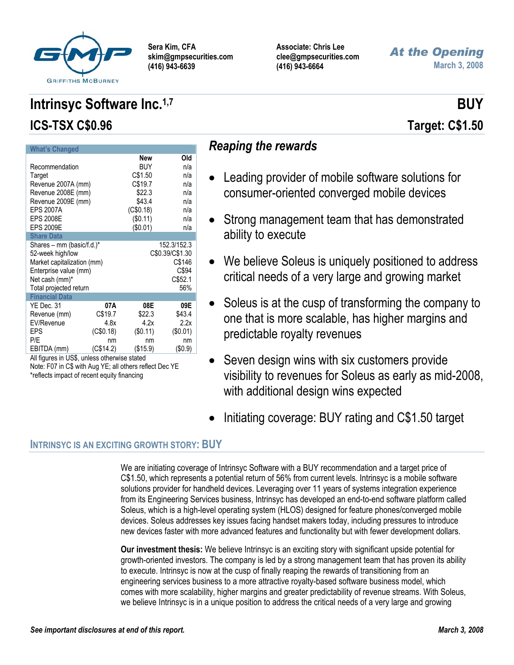

**Associate: Chris Lee clee@gmpsecurities.com (416) 943-6664** 

# *At the Opening* **March 3, 2008**

#### **What's Changed New Old**  Recommendation BUY n/a Target C\$1.50 n/a Revenue 2007A (mm) C\$19.7 n/a Revenue 2008E (mm)  $$22.3$  n/a Revenue 2009E (mm) \$43.4 n/a EPS 2007A (C\$0.18) n/a EPS 2008E (\$0.11) n/a EPS 2009E (\$0.01) n/a **Share Data**  Shares – mm (basic/f.d.)\* 152.3/152.3<br>52-week high/low C\$0.39/C\$1.30 52-week high/low Market capitalization (mm) C\$146 Enterprise value (mm) C\$94 Net cash (mm)<sup>\*</sup> C\$52.1 Total projected return 56% **Financial Data** YE Dec. 31 **07A 08E 09E**  Revenue (mm) C\$19.7 \$22.3 \$43.4 EV/Revenue 4.8x 4.2x 2.2x EPS (C\$0.18) (\$0.11) (\$0.01) P/E nm nm nm nm EBITDA (mm) (C\$14.2) (\$15.9) (\$0.9)

# All figures in US\$, unless otherwise stated Note: F07 in C\$ with Aug YE; all others reflect Dec YE

#### \*reflects impact of recent equity financing

# *Reaping the rewards*

- Leading provider of mobile software solutions for consumer-oriented converged mobile devices
- Strong management team that has demonstrated ability to execute
- We believe Soleus is uniquely positioned to address critical needs of a very large and growing market
- Soleus is at the cusp of transforming the company to one that is more scalable, has higher margins and predictable royalty revenues
- Seven design wins with six customers provide visibility to revenues for Soleus as early as mid-2008, with additional design wins expected
- Initiating coverage: BUY rating and C\$1.50 target

# **INTRINSYC IS AN EXCITING GROWTH STORY: BUY**

We are initiating coverage of Intrinsyc Software with a BUY recommendation and a target price of C\$1.50, which represents a potential return of 56% from current levels. Intrinsyc is a mobile software solutions provider for handheld devices. Leveraging over 11 years of systems integration experience from its Engineering Services business, Intrinsyc has developed an end-to-end software platform called Soleus, which is a high-level operating system (HLOS) designed for feature phones/converged mobile devices. Soleus addresses key issues facing handset makers today, including pressures to introduce new devices faster with more advanced features and functionality but with fewer development dollars.

**Our investment thesis:** We believe Intrinsyc is an exciting story with significant upside potential for growth-oriented investors. The company is led by a strong management team that has proven its ability to execute. Intrinsyc is now at the cusp of finally reaping the rewards of transitioning from an engineering services business to a more attractive royalty-based software business model, which comes with more scalability, higher margins and greater predictability of revenue streams. With Soleus, we believe Intrinsyc is in a unique position to address the critical needs of a very large and growing

# **Intrinsyc Software Inc.**<sup>1,7</sup> BUY **ICS-TSX C\$0.96 Target: C\$1.50**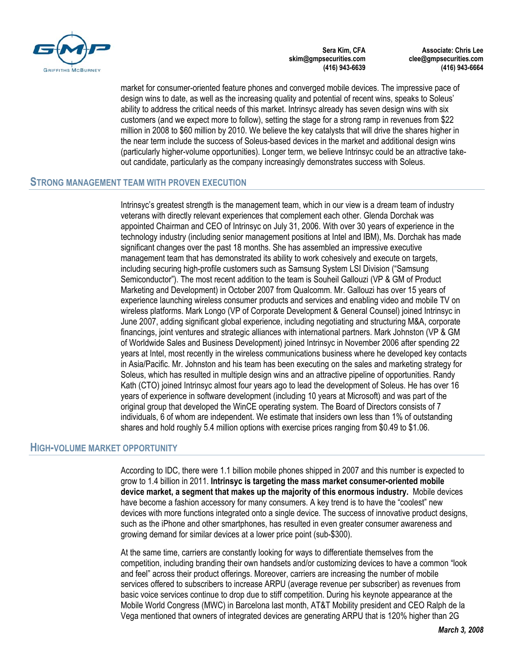

**Associate: Chris Lee clee@gmpsecurities.com (416) 943-6664** 

market for consumer-oriented feature phones and converged mobile devices. The impressive pace of design wins to date, as well as the increasing quality and potential of recent wins, speaks to Soleus' ability to address the critical needs of this market. Intrinsyc already has seven design wins with six customers (and we expect more to follow), setting the stage for a strong ramp in revenues from \$22 million in 2008 to \$60 million by 2010. We believe the key catalysts that will drive the shares higher in the near term include the success of Soleus-based devices in the market and additional design wins (particularly higher-volume opportunities). Longer term, we believe Intrinsyc could be an attractive takeout candidate, particularly as the company increasingly demonstrates success with Soleus.

## **STRONG MANAGEMENT TEAM WITH PROVEN EXECUTION**

Intrinsyc's greatest strength is the management team, which in our view is a dream team of industry veterans with directly relevant experiences that complement each other. Glenda Dorchak was appointed Chairman and CEO of Intrinsyc on July 31, 2006. With over 30 years of experience in the technology industry (including senior management positions at Intel and IBM), Ms. Dorchak has made significant changes over the past 18 months. She has assembled an impressive executive management team that has demonstrated its ability to work cohesively and execute on targets, including securing high-profile customers such as Samsung System LSI Division ("Samsung Semiconductor"). The most recent addition to the team is Souheil Gallouzi (VP & GM of Product Marketing and Development) in October 2007 from Qualcomm. Mr. Gallouzi has over 15 years of experience launching wireless consumer products and services and enabling video and mobile TV on wireless platforms. Mark Longo (VP of Corporate Development & General Counsel) joined Intrinsyc in June 2007, adding significant global experience, including negotiating and structuring M&A, corporate financings, joint ventures and strategic alliances with international partners. Mark Johnston (VP & GM of Worldwide Sales and Business Development) joined Intrinsyc in November 2006 after spending 22 years at Intel, most recently in the wireless communications business where he developed key contacts in Asia/Pacific. Mr. Johnston and his team has been executing on the sales and marketing strategy for Soleus, which has resulted in multiple design wins and an attractive pipeline of opportunities. Randy Kath (CTO) joined Intrinsyc almost four years ago to lead the development of Soleus. He has over 16 years of experience in software development (including 10 years at Microsoft) and was part of the original group that developed the WinCE operating system. The Board of Directors consists of 7 individuals, 6 of whom are independent. We estimate that insiders own less than 1% of outstanding shares and hold roughly 5.4 million options with exercise prices ranging from \$0.49 to \$1.06.

# **HIGH-VOLUME MARKET OPPORTUNITY**

According to IDC, there were 1.1 billion mobile phones shipped in 2007 and this number is expected to grow to 1.4 billion in 2011. **Intrinsyc is targeting the mass market consumer-oriented mobile device market, a segment that makes up the majority of this enormous industry.** Mobile devices have become a fashion accessory for many consumers. A key trend is to have the "coolest" new devices with more functions integrated onto a single device. The success of innovative product designs, such as the iPhone and other smartphones, has resulted in even greater consumer awareness and growing demand for similar devices at a lower price point (sub-\$300).

At the same time, carriers are constantly looking for ways to differentiate themselves from the competition, including branding their own handsets and/or customizing devices to have a common "look and feel" across their product offerings. Moreover, carriers are increasing the number of mobile services offered to subscribers to increase ARPU (average revenue per subscriber) as revenues from basic voice services continue to drop due to stiff competition. During his keynote appearance at the Mobile World Congress (MWC) in Barcelona last month, AT&T Mobility president and CEO Ralph de la Vega mentioned that owners of integrated devices are generating ARPU that is 120% higher than 2G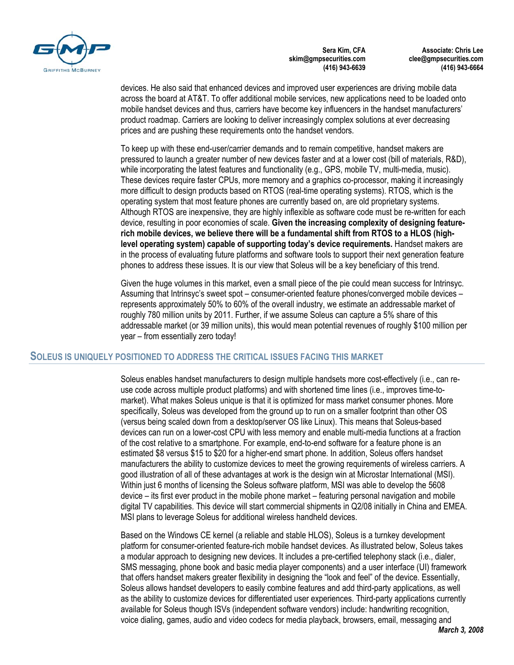

**Associate: Chris Lee clee@gmpsecurities.com (416) 943-6664** 

devices. He also said that enhanced devices and improved user experiences are driving mobile data across the board at AT&T. To offer additional mobile services, new applications need to be loaded onto mobile handset devices and thus, carriers have become key influencers in the handset manufacturers' product roadmap. Carriers are looking to deliver increasingly complex solutions at ever decreasing prices and are pushing these requirements onto the handset vendors.

To keep up with these end-user/carrier demands and to remain competitive, handset makers are pressured to launch a greater number of new devices faster and at a lower cost (bill of materials, R&D), while incorporating the latest features and functionality (e.g., GPS, mobile TV, multi-media, music). These devices require faster CPUs, more memory and a graphics co-processor, making it increasingly more difficult to design products based on RTOS (real-time operating systems). RTOS, which is the operating system that most feature phones are currently based on, are old proprietary systems. Although RTOS are inexpensive, they are highly inflexible as software code must be re-written for each device, resulting in poor economies of scale. **Given the increasing complexity of designing featurerich mobile devices, we believe there will be a fundamental shift from RTOS to a HLOS (highlevel operating system) capable of supporting today's device requirements.** Handset makers are in the process of evaluating future platforms and software tools to support their next generation feature phones to address these issues. It is our view that Soleus will be a key beneficiary of this trend.

Given the huge volumes in this market, even a small piece of the pie could mean success for Intrinsyc. Assuming that Intrinsyc's sweet spot – consumer-oriented feature phones/converged mobile devices – represents approximately 50% to 60% of the overall industry, we estimate an addressable market of roughly 780 million units by 2011. Further, if we assume Soleus can capture a 5% share of this addressable market (or 39 million units), this would mean potential revenues of roughly \$100 million per year – from essentially zero today!

# **SOLEUS IS UNIQUELY POSITIONED TO ADDRESS THE CRITICAL ISSUES FACING THIS MARKET**

Soleus enables handset manufacturers to design multiple handsets more cost-effectively (i.e., can reuse code across multiple product platforms) and with shortened time lines (i.e., improves time-tomarket). What makes Soleus unique is that it is optimized for mass market consumer phones. More specifically, Soleus was developed from the ground up to run on a smaller footprint than other OS (versus being scaled down from a desktop/server OS like Linux). This means that Soleus-based devices can run on a lower-cost CPU with less memory and enable multi-media functions at a fraction of the cost relative to a smartphone. For example, end-to-end software for a feature phone is an estimated \$8 versus \$15 to \$20 for a higher-end smart phone. In addition, Soleus offers handset manufacturers the ability to customize devices to meet the growing requirements of wireless carriers. A good illustration of all of these advantages at work is the design win at Microstar International (MSI). Within just 6 months of licensing the Soleus software platform, MSI was able to develop the 5608 device – its first ever product in the mobile phone market – featuring personal navigation and mobile digital TV capabilities. This device will start commercial shipments in Q2/08 initially in China and EMEA. MSI plans to leverage Soleus for additional wireless handheld devices.

Based on the Windows CE kernel (a reliable and stable HLOS), Soleus is a turnkey development platform for consumer-oriented feature-rich mobile handset devices. As illustrated below, Soleus takes a modular approach to designing new devices. It includes a pre-certified telephony stack (i.e., dialer, SMS messaging, phone book and basic media player components) and a user interface (UI) framework that offers handset makers greater flexibility in designing the "look and feel" of the device. Essentially, Soleus allows handset developers to easily combine features and add third-party applications, as well as the ability to customize devices for differentiated user experiences. Third-party applications currently available for Soleus though ISVs (independent software vendors) include: handwriting recognition, voice dialing, games, audio and video codecs for media playback, browsers, email, messaging and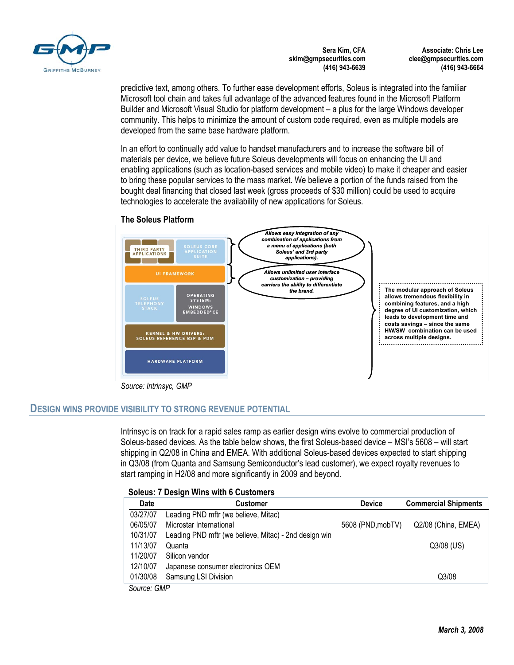

**Associate: Chris Lee clee@gmpsecurities.com (416) 943-6664** 

predictive text, among others. To further ease development efforts, Soleus is integrated into the familiar Microsoft tool chain and takes full advantage of the advanced features found in the Microsoft Platform Builder and Microsoft Visual Studio for platform development – a plus for the large Windows developer community. This helps to minimize the amount of custom code required, even as multiple models are developed from the same base hardware platform.

In an effort to continually add value to handset manufacturers and to increase the software bill of materials per device, we believe future Soleus developments will focus on enhancing the UI and enabling applications (such as location-based services and mobile video) to make it cheaper and easier to bring these popular services to the mass market. We believe a portion of the funds raised from the bought deal financing that closed last week (gross proceeds of \$30 million) could be used to acquire technologies to accelerate the availability of new applications for Soleus.

## **The Soleus Platform**



*Source: Intrinsyc, GMP* 

# **DESIGN WINS PROVIDE VISIBILITY TO STRONG REVENUE POTENTIAL**

Intrinsyc is on track for a rapid sales ramp as earlier design wins evolve to commercial production of Soleus-based devices. As the table below shows, the first Soleus-based device – MSI's 5608 – will start shipping in Q2/08 in China and EMEA. With additional Soleus-based devices expected to start shipping in Q3/08 (from Quanta and Samsung Semiconductor's lead customer), we expect royalty revenues to start ramping in H2/08 and more significantly in 2009 and beyond.

# **Soleus: 7 Design Wins with 6 Customers**

| <b>Date</b>          | <b>Customer</b>                                       | <b>Device</b>     | <b>Commercial Shipments</b> |
|----------------------|-------------------------------------------------------|-------------------|-----------------------------|
| 03/27/07             | Leading PND mftr (we believe, Mitac)                  |                   |                             |
| 06/05/07             | Microstar International                               | 5608 (PND, mobTV) | Q2/08 (China, EMEA)         |
| 10/31/07             | Leading PND mftr (we believe, Mitac) - 2nd design win |                   |                             |
| 11/13/07             | Quanta                                                |                   | $Q3/08$ (US)                |
| 11/20/07             | Silicon vendor                                        |                   |                             |
| 12/10/07             | Japanese consumer electronics OEM                     |                   |                             |
| 01/30/08             | Samsung LSI Division                                  |                   | Q3/08                       |
| $\sim$ $\sim$ $\sim$ |                                                       |                   |                             |

*Source: GMP*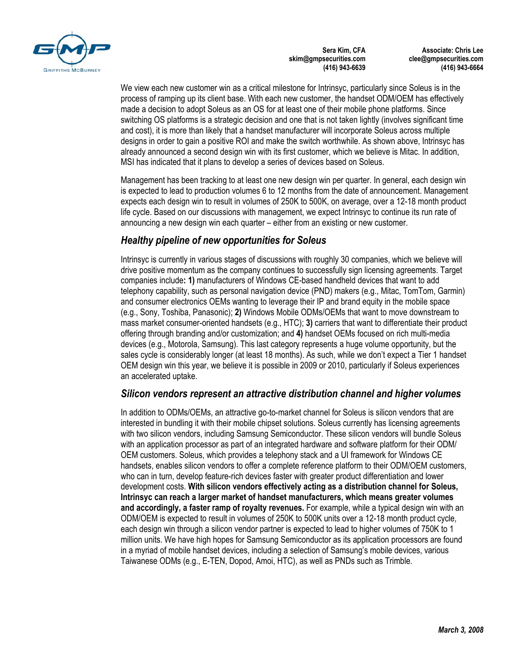

**Associate: Chris Lee clee@gmpsecurities.com (416) 943-6664** 

We view each new customer win as a critical milestone for Intrinsyc, particularly since Soleus is in the process of ramping up its client base. With each new customer, the handset ODM/OEM has effectively made a decision to adopt Soleus as an OS for at least one of their mobile phone platforms. Since switching OS platforms is a strategic decision and one that is not taken lightly (involves significant time and cost), it is more than likely that a handset manufacturer will incorporate Soleus across multiple designs in order to gain a positive ROI and make the switch worthwhile. As shown above, Intrinsyc has already announced a second design win with its first customer, which we believe is Mitac. In addition, MSI has indicated that it plans to develop a series of devices based on Soleus.

Management has been tracking to at least one new design win per quarter. In general, each design win is expected to lead to production volumes 6 to 12 months from the date of announcement. Management expects each design win to result in volumes of 250K to 500K, on average, over a 12-18 month product life cycle. Based on our discussions with management, we expect Intrinsyc to continue its run rate of announcing a new design win each quarter – either from an existing or new customer.

# *Healthy pipeline of new opportunities for Soleus*

Intrinsyc is currently in various stages of discussions with roughly 30 companies, which we believe will drive positive momentum as the company continues to successfully sign licensing agreements. Target companies include**: 1)** manufacturers of Windows CE-based handheld devices that want to add telephony capability, such as personal navigation device (PND) makers (e.g., Mitac, TomTom, Garmin) and consumer electronics OEMs wanting to leverage their IP and brand equity in the mobile space (e.g., Sony, Toshiba, Panasonic); **2)** Windows Mobile ODMs/OEMs that want to move downstream to mass market consumer-oriented handsets (e.g., HTC); **3)** carriers that want to differentiate their product offering through branding and/or customization; and **4)** handset OEMs focused on rich multi-media devices (e.g., Motorola, Samsung). This last category represents a huge volume opportunity, but the sales cycle is considerably longer (at least 18 months). As such, while we don't expect a Tier 1 handset OEM design win this year, we believe it is possible in 2009 or 2010, particularly if Soleus experiences an accelerated uptake.

# *Silicon vendors represent an attractive distribution channel and higher volumes*

In addition to ODMs/OEMs, an attractive go-to-market channel for Soleus is silicon vendors that are interested in bundling it with their mobile chipset solutions. Soleus currently has licensing agreements with two silicon vendors, including Samsung Semiconductor. These silicon vendors will bundle Soleus with an application processor as part of an integrated hardware and software platform for their ODM/ OEM customers. Soleus, which provides a telephony stack and a UI framework for Windows CE handsets, enables silicon vendors to offer a complete reference platform to their ODM/OEM customers, who can in turn, develop feature-rich devices faster with greater product differentiation and lower development costs. **With silicon vendors effectively acting as a distribution channel for Soleus, Intrinsyc can reach a larger market of handset manufacturers, which means greater volumes and accordingly, a faster ramp of royalty revenues.** For example, while a typical design win with an ODM/OEM is expected to result in volumes of 250K to 500K units over a 12-18 month product cycle, each design win through a silicon vendor partner is expected to lead to higher volumes of 750K to 1 million units. We have high hopes for Samsung Semiconductor as its application processors are found in a myriad of mobile handset devices, including a selection of Samsung's mobile devices, various Taiwanese ODMs (e.g., E-TEN, Dopod, Amoi, HTC), as well as PNDs such as Trimble.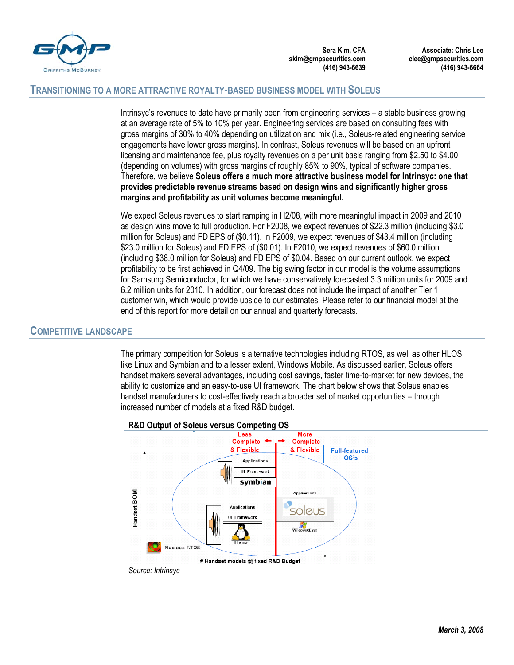

**Associate: Chris Lee clee@gmpsecurities.com (416) 943-6664** 

## **TRANSITIONING TO A MORE ATTRACTIVE ROYALTY-BASED BUSINESS MODEL WITH SOLEUS**

Intrinsyc's revenues to date have primarily been from engineering services – a stable business growing at an average rate of 5% to 10% per year. Engineering services are based on consulting fees with gross margins of 30% to 40% depending on utilization and mix (i.e., Soleus-related engineering service engagements have lower gross margins). In contrast, Soleus revenues will be based on an upfront licensing and maintenance fee, plus royalty revenues on a per unit basis ranging from \$2.50 to \$4.00 (depending on volumes) with gross margins of roughly 85% to 90%, typical of software companies. Therefore, we believe **Soleus offers a much more attractive business model for Intrinsyc: one that provides predictable revenue streams based on design wins and significantly higher gross margins and profitability as unit volumes become meaningful.** 

We expect Soleus revenues to start ramping in H2/08, with more meaningful impact in 2009 and 2010 as design wins move to full production. For F2008, we expect revenues of \$22.3 million (including \$3.0 million for Soleus) and FD EPS of (\$0.11). In F2009, we expect revenues of \$43.4 million (including \$23.0 million for Soleus) and FD EPS of (\$0.01). In F2010, we expect revenues of \$60.0 million (including \$38.0 million for Soleus) and FD EPS of \$0.04. Based on our current outlook, we expect profitability to be first achieved in Q4/09. The big swing factor in our model is the volume assumptions for Samsung Semiconductor, for which we have conservatively forecasted 3.3 million units for 2009 and 6.2 million units for 2010. In addition, our forecast does not include the impact of another Tier 1 customer win, which would provide upside to our estimates. Please refer to our financial model at the end of this report for more detail on our annual and quarterly forecasts.

# **COMPETITIVE LANDSCAPE**

The primary competition for Soleus is alternative technologies including RTOS, as well as other HLOS like Linux and Symbian and to a lesser extent, Windows Mobile. As discussed earlier, Soleus offers handset makers several advantages, including cost savings, faster time-to-market for new devices, the ability to customize and an easy-to-use UI framework. The chart below shows that Soleus enables handset manufacturers to cost-effectively reach a broader set of market opportunities – through increased number of models at a fixed R&D budget.



#### **R&D Output of Soleus versus Competing OS**

*March 3, 2008*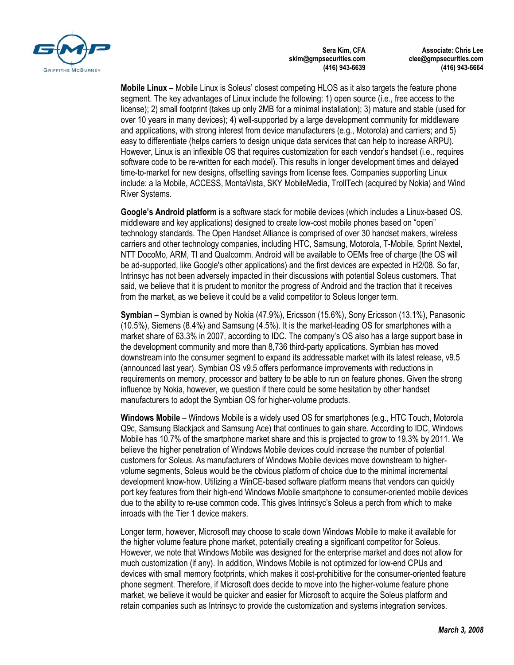

**Associate: Chris Lee clee@gmpsecurities.com (416) 943-6664** 

**Mobile Linux** – Mobile Linux is Soleus' closest competing HLOS as it also targets the feature phone segment. The key advantages of Linux include the following: 1) open source (i.e., free access to the license); 2) small footprint (takes up only 2MB for a minimal installation); 3) mature and stable (used for over 10 years in many devices); 4) well-supported by a large development community for middleware and applications, with strong interest from device manufacturers (e.g., Motorola) and carriers; and 5) easy to differentiate (helps carriers to design unique data services that can help to increase ARPU). However, Linux is an inflexible OS that requires customization for each vendor's handset (i.e., requires software code to be re-written for each model). This results in longer development times and delayed time-to-market for new designs, offsetting savings from license fees. Companies supporting Linux include: a la Mobile, ACCESS, MontaVista, SKY MobileMedia, TrollTech (acquired by Nokia) and Wind River Systems.

**Google's Android platform** is a software stack for mobile devices (which includes a Linux-based OS, middleware and key applications) designed to create low-cost mobile phones based on "open" technology standards. The Open Handset Alliance is comprised of over 30 handset makers, wireless carriers and other technology companies, including HTC, Samsung, Motorola, T-Mobile, Sprint Nextel, NTT DocoMo, ARM, TI and Qualcomm. Android will be available to OEMs free of charge (the OS will be ad-supported, like Google's other applications) and the first devices are expected in H2/08. So far, Intrinsyc has not been adversely impacted in their discussions with potential Soleus customers. That said, we believe that it is prudent to monitor the progress of Android and the traction that it receives from the market, as we believe it could be a valid competitor to Soleus longer term.

**Symbian** – Symbian is owned by Nokia (47.9%), Ericsson (15.6%), Sony Ericsson (13.1%), Panasonic (10.5%), Siemens (8.4%) and Samsung (4.5%). It is the market-leading OS for smartphones with a market share of 63.3% in 2007, according to IDC. The company's OS also has a large support base in the development community and more than 8,736 third-party applications. Symbian has moved downstream into the consumer segment to expand its addressable market with its latest release, v9.5 (announced last year). Symbian OS v9.5 offers performance improvements with reductions in requirements on memory, processor and battery to be able to run on feature phones. Given the strong influence by Nokia, however, we question if there could be some hesitation by other handset manufacturers to adopt the Symbian OS for higher-volume products.

**Windows Mobile** – Windows Mobile is a widely used OS for smartphones (e.g., HTC Touch, Motorola Q9c, Samsung Blackjack and Samsung Ace) that continues to gain share. According to IDC, Windows Mobile has 10.7% of the smartphone market share and this is projected to grow to 19.3% by 2011. We believe the higher penetration of Windows Mobile devices could increase the number of potential customers for Soleus. As manufacturers of Windows Mobile devices move downstream to highervolume segments, Soleus would be the obvious platform of choice due to the minimal incremental development know-how. Utilizing a WinCE-based software platform means that vendors can quickly port key features from their high-end Windows Mobile smartphone to consumer-oriented mobile devices due to the ability to re-use common code. This gives Intrinsyc's Soleus a perch from which to make inroads with the Tier 1 device makers.

Longer term, however, Microsoft may choose to scale down Windows Mobile to make it available for the higher volume feature phone market, potentially creating a significant competitor for Soleus. However, we note that Windows Mobile was designed for the enterprise market and does not allow for much customization (if any). In addition, Windows Mobile is not optimized for low-end CPUs and devices with small memory footprints, which makes it cost-prohibitive for the consumer-oriented feature phone segment. Therefore, if Microsoft does decide to move into the higher-volume feature phone market, we believe it would be quicker and easier for Microsoft to acquire the Soleus platform and retain companies such as Intrinsyc to provide the customization and systems integration services.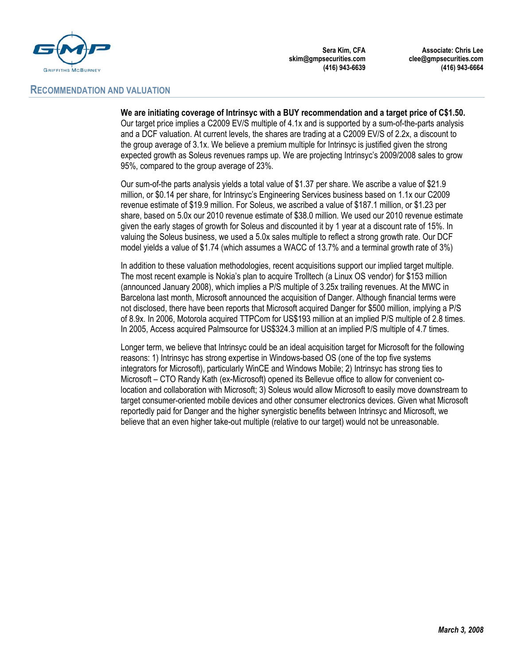

# **RECOMMENDATION AND VALUATION**

**Sera Kim, CFA skim@gmpsecurities.com (416) 943-6639** 

**Associate: Chris Lee clee@gmpsecurities.com (416) 943-6664** 

**We are initiating coverage of Intrinsyc with a BUY recommendation and a target price of C\$1.50.**

Our target price implies a C2009 EV/S multiple of 4.1x and is supported by a sum-of-the-parts analysis and a DCF valuation. At current levels, the shares are trading at a C2009 EV/S of 2.2x, a discount to the group average of 3.1x. We believe a premium multiple for Intrinsyc is justified given the strong expected growth as Soleus revenues ramps up. We are projecting Intrinsyc's 2009/2008 sales to grow 95%, compared to the group average of 23%.

Our sum-of-the parts analysis yields a total value of \$1.37 per share. We ascribe a value of \$21.9 million, or \$0.14 per share, for Intrinsyc's Engineering Services business based on 1.1x our C2009 revenue estimate of \$19.9 million. For Soleus, we ascribed a value of \$187.1 million, or \$1.23 per share, based on 5.0x our 2010 revenue estimate of \$38.0 million. We used our 2010 revenue estimate given the early stages of growth for Soleus and discounted it by 1 year at a discount rate of 15%. In valuing the Soleus business, we used a 5.0x sales multiple to reflect a strong growth rate. Our DCF model yields a value of \$1.74 (which assumes a WACC of 13.7% and a terminal growth rate of 3%)

In addition to these valuation methodologies, recent acquisitions support our implied target multiple. The most recent example is Nokia's plan to acquire Trolltech (a Linux OS vendor) for \$153 million (announced January 2008), which implies a P/S multiple of 3.25x trailing revenues. At the MWC in Barcelona last month, Microsoft announced the acquisition of Danger. Although financial terms were not disclosed, there have been reports that Microsoft acquired Danger for \$500 million, implying a P/S of 8.9x. In 2006, Motorola acquired TTPCom for US\$193 million at an implied P/S multiple of 2.8 times. In 2005, Access acquired Palmsource for US\$324.3 million at an implied P/S multiple of 4.7 times.

Longer term, we believe that Intrinsyc could be an ideal acquisition target for Microsoft for the following reasons: 1) Intrinsyc has strong expertise in Windows-based OS (one of the top five systems integrators for Microsoft), particularly WinCE and Windows Mobile; 2) Intrinsyc has strong ties to Microsoft – CTO Randy Kath (ex-Microsoft) opened its Bellevue office to allow for convenient colocation and collaboration with Microsoft; 3) Soleus would allow Microsoft to easily move downstream to target consumer-oriented mobile devices and other consumer electronics devices. Given what Microsoft reportedly paid for Danger and the higher synergistic benefits between Intrinsyc and Microsoft, we believe that an even higher take-out multiple (relative to our target) would not be unreasonable.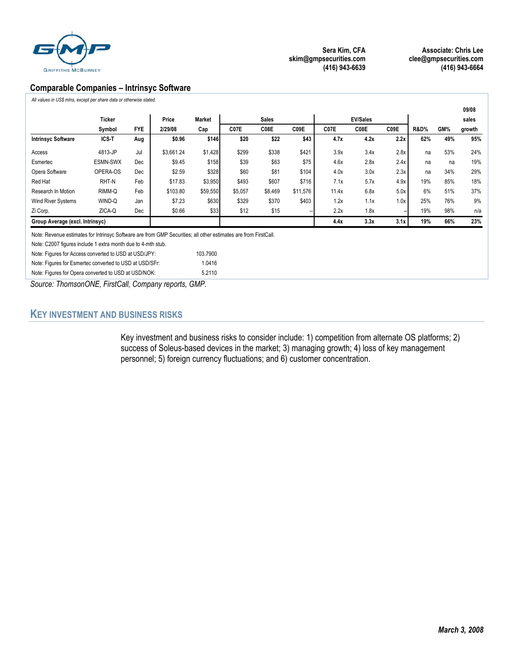

**Associate: Chris Lee clee@gmpsecurities.com (416) 943-6664** 

## **Comparable Companies – Intrinsyc Software**

*All values in US\$ mlns, except per share data or otherwise stated.*

|                                 |               |            |            |               |         |              |          |       |      |      |                 |     | 09/08  |
|---------------------------------|---------------|------------|------------|---------------|---------|--------------|----------|-------|------|------|-----------------|-----|--------|
|                                 | <b>Ticker</b> |            | Price      | <b>Market</b> |         | <b>Sales</b> |          |       |      |      | sales           |     |        |
|                                 | Symbol        | <b>FYE</b> | 2/29/08    | Cap           | C07E    | C08E         | C09E     | C07E  | C08E | C09E | <b>R&amp;D%</b> | GM% | growth |
| <b>Intrinsyc Software</b>       | ICS-T         | Aug        | \$0.96     | \$146         | \$20    | \$22         | \$43     | 4.7x  | 4.2x | 2.2x | 62%             | 49% | 95%    |
| Access                          | 4813-JP       | Jul        | \$3.661.24 | \$1,428       | \$299   | \$338        | \$421    | 3.9x  | 3.4x | 2.8x | na              | 53% | 24%    |
| Esmertec                        | ESMN-SWX      | Dec        | \$9.45     | \$158         | \$39    | \$63         | \$75     | 4.6x  | 2.8x | 2.4x | na              | na  | 19%    |
| Opera Software                  | OPERA-OS      | Dec        | \$2.59     | \$328         | \$60    | \$81         | \$104    | 4.0x  | 3.0x | 2.3x | na              | 34% | 29%    |
| Red Hat                         | RHT-N         | Feb        | \$17.83    | \$3,950       | \$493   | \$607        | \$716    | 7.1x  | 5.7x | 4.9x | 19%             | 85% | 18%    |
| Research In Motion              | RIMM-Q        | Feb        | \$103.80   | \$59,550      | \$5,057 | \$8,469      | \$11,576 | 11.4x | 6.8x | 5.0x | 6%              | 51% | 37%    |
| <b>Wind River Systems</b>       | WIND-Q        | Jan        | \$7.23     | \$630         | \$329   | \$370        | \$403    | 1.2x  | 1.1x | 1.0x | 25%             | 76% | 9%     |
| Zi Corp.                        | ZICA-Q        | Dec        | \$0.66     | \$33          | \$12    | \$15         |          | 2.2x  | 1.8x |      | 19%             | 98% | n/a    |
| Group Average (excl. Intrinsyc) |               |            |            |               |         |              |          | 4.4x  | 3.3x | 3.1x | 19%             | 66% | 23%    |

Note: Revenue estimates for Intrinsyc Software are from GMP Securities; all other estimates are from FirstCall.

Note: C2007 figures include 1 extra month due to 4-mth stub.

Note: Figures for Access converted to USD at USD/JPY: 103.7900

| Note: Figures for Esmertec converted to USD at USD/SFr: | 1.0416 |
|---------------------------------------------------------|--------|
| Note: Figures for Opera converted to USD at USD/NOK:    | 5.2110 |

*Source: ThomsonONE, FirstCall, Company reports, GMP.* 

# **KEY INVESTMENT AND BUSINESS RISKS**

Key investment and business risks to consider include: 1) competition from alternate OS platforms; 2) success of Soleus-based devices in the market; 3) managing growth; 4) loss of key management personnel; 5) foreign currency fluctuations; and 6) customer concentration.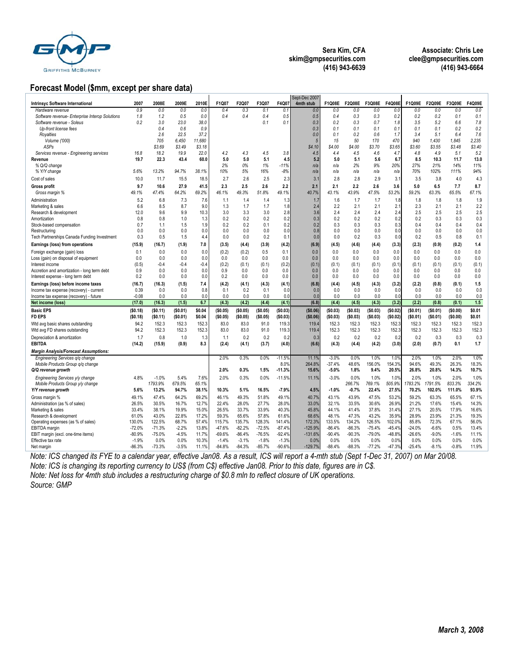

**Associate: Chris Lee clee@gmpsecurities.com (416) 943-6664** 

## **Forecast Model (\$mm, except per share data)**

|                                                |          |          |          |        |          |          |          |          | Sept-Dec 2007 |          |               |          |          |          |          |          |        |
|------------------------------------------------|----------|----------|----------|--------|----------|----------|----------|----------|---------------|----------|---------------|----------|----------|----------|----------|----------|--------|
| Intrinsyc Software International               | 2007     | 2008E    | 2009E    | 2010E  | F1Q07    | F2Q07    | F3Q07    | F4Q07    | 4mth stub     | F1Q08E   | <b>F2Q08E</b> | F3Q08E   | F4Q08E   | F1Q09E   | F2Q09E   | F3Q09E   | F4Q09E |
| Hardware revenue                               | 0.9      | 0.0      | 0.0      | 0.0    | 0.4      | 0.3      | 0.1      | 0.1      | 0.0           | 0.0      | 0.0           | 0.0      | 0.0      | 0.0      | 0.0      | 0.0      | 0.0    |
| Software revenue- Enterprise Interop Solutions | 1.8      | 1.2      | 0.5      | 0.0    | 0.4      | 0.4      | 0.4      | 0.5      | 0.5           | 0.4      | 0.3           | 0.3      | 0.2      | 0.2      | 0.2      | 0.1      | 0.1    |
| Software revenue - Soleus                      | 0.2      | 3.0      | 23.0     | 38.0   |          |          | 0.1      | 0.1      | 0.3           | 0.2      | 0.3           | 0.7      | 1.8      | 3.5      | 5.2      | 6.6      | 7.8    |
| Up-front license fees                          |          | 0.4      | 0.6      | 0.9    |          |          |          |          | 0.3           | 0.1      | 0.1           | 0.1      | 0.1      | 0.1      | 0.1      | 0.2      | 0.2    |
|                                                |          |          |          |        |          |          |          |          |               |          |               |          |          |          |          |          |        |
| Royalties                                      |          | 2.6      | 22.5     | 37.2   |          |          |          |          | 0.0           | 0.1      | 0.2           | 0.6      | 1.7      | 3.4      | 5.1      | 6.4      | 7.6    |
| Volume ('000)                                  |          | 705      | 6,450    | 11,680 |          |          |          |          | 5             | 15       | 50            | 170      | 470      | 940      | 1,430    | 1,845    | 2,235  |
| ASPs                                           |          | \$3.69   | \$3.49   | \$3.18 |          |          |          |          | \$4.10        | \$4.00   | \$4.00        | \$3.70   | \$3.65   | \$3.60   | \$3.55   | \$3.48   | \$3.40 |
| Services revenue - Engineering services        | 16.8     | 18.2     | 19.9     | 22.0   | 4.2      | 4.3      | 4.5      | 3.8      | 4.5           | 4.4      | 4.5           | 4.6      | 4.7      | 4.8      | 4.9      | 5.1      | 5.2    |
| Revenue                                        | 19.7     | 22.3     | 43.4     | 60.0   | 5.0      | 5.0      | 5.1      | 4.5      | 5.2           | 5.0      | 5.1           | 5.6      | 6.7      | 8.5      | 10.3     | 11.7     | 13.0   |
| % Q/Q change                                   |          |          |          |        | 2%       | 0%       | 1%       | $-11%$   | n/a           | n/a      | 2%            | 9%       | 20%      | 27%      | 21%      | 14%      | 11%    |
| % Y/Y change                                   | 5.6%     | 13.2%    | 94.7%    | 38.1%  | 10%      | 5%       | 16%      | $-8%$    | n/a           | n/a      | n/a           | n/a      | n/a      | 70%      | 102%     | 111%     | 94%    |
| Cost of sales                                  | 10.0     | 11.7     | 15.5     | 18.5   | 2.7      | 2.6      | 2.5      | 2.3      | 3.1           | 2.8      | 2.8           | 2.9      | 3.1      | 3.5      | 3.8      | 4.0      | 4.3    |
| <b>Gross profit</b>                            | 9.7      | 10.6     | 27.9     | 41.5   | 2.3      | 2.5      | 2.6      | 2.2      | 2.1           | 2.1      | 2.2           | 2.6      | 3.6      | 5.0      | 6.5      | 7.7      | 8.7    |
|                                                |          |          |          |        |          |          |          |          |               |          |               |          |          |          |          |          |        |
| Gross margin %                                 | 49.1%    | 47.4%    | 64.2%    | 69.2%  | 46.1%    | 49.3%    | 51.8%    | 49.1%    | 40.7%         | 43.1%    | 43.9%         | 47.5%    | 53.2%    | 59.2%    | 63.3%    | 65.5%    | 67.1%  |
| Administration                                 | 5.2      | 6.8      | 7.3      | 7.6    | 1.1      | 1.4      | 1.4      | 1.3      | 1.7           | 1.6      | 1.7           | 1.7      | 1.8      | 1.8      | 1.8      | 1.8      | 1.9    |
| Marketing & sales                              | 6.6      | 8.5      | 8.7      | 9.0    | 1.3      | 1.7      | 1.7      | 1.8      | 2.4           | 2.2      | 2.1           | 2.1      | 2.1      | 2.3      | 2.1      | 2.1      | 2.2    |
| Research & development                         | 12.0     | 9.6      | 9.9      | 10.3   | 3.0      | 3.3      | 3.0      | 2.8      | 3.6           | 2.4      | 2.4           | 2.4      | 2.4      | 2.5      | 2.5      | 2.5      | 2.5    |
| Amortization                                   | 0.8      | 0.8      | 1.0      | 1.3    | 0.2      | 0.2      | 0.2      | 0.2      | 0.3           | 0.2      | 0.2           | 0.2      | 0.2      | 0.2      | 0.3      | 0.3      | 0.3    |
| Stock-based compensation                       | 0.7      | 1.1      | 1.5      | 1.9    | 0.2      | 0.2      | 0.1      | 0.2      | 0.2           | 0.3      | 0.3           | 0.3      | 0.3      | 0.4      | 0.4      | 0.4      | 0.4    |
| Restructuring                                  | 0.0      | 0.0      | 0.0      | 0.0    | 0.0      | 0.0      | 0.0      | 0.0      | 0.8           | 0.0      | 0.0           | 0.0      | 0.0      | 0.0      | 0.0      | 0.0      | 0.0    |
| Tech Partnerships Canada Funding Investment    | 0.3      | 0.5      | 1.5      | 4.4    | 0.0      | 0.0      | 0.2      | 0.1      | 0.0           | 0.0      | 0.2           | 0.3      | 0.0      | 0.2      | 0.5      | 0.8      | 0.1    |
|                                                |          |          |          |        |          |          |          |          |               |          |               |          |          |          |          |          | 1.4    |
| Earnings (loss) from operations                | (15.9)   | (16.7)   | (1.9)    | 7.0    | (3.5)    | (4.4)    | (3.9)    | (4.2)    | (6.9)         | (4.5)    | (4.6)         | (4.4)    | (3.3)    | (2.3)    | (0.9)    | (0.2)    |        |
| Foreign exchange (gain) loss                   | 0.1      | 0.0      | 0.0      | 0.0    | (0.2)    | (0.2)    | 0.5      | 0.1      | 0.0           | 0.0      | 0.0           | 0.0      | 0.0      | 0.0      | 0.0      | 0.0      | 0.0    |
| Loss (gain) on disposal of equipment           | 0.0      | 0.0      | 0.0      | 0.0    | 0.0      | 0.0      | 0.0      | 0.0      | 0.0           | 0.0      | 0.0           | 0.0      | 0.0      | 0.0      | 0.0      | 0.0      | 0.0    |
| Interest income                                | (0.5)    | $-0.4$   | $-0.4$   | $-0.4$ | (0.2)    | (0.1)    | (0.1)    | (0.2)    | (0.1)         | (0.1)    | (0.1)         | (0.1)    | (0.1)    | (0.1)    | (0.1)    | (0.1)    | (0.1)  |
| Accretion and amortization - long term debt    | 0.9      | 0.0      | 0.0      | 0.0    | 0.9      | 0.0      | 0.0      | 0.0      | 0.0           | 0.0      | 0.0           | 0.0      | 0.0      | 0.0      | 0.0      | 0.0      | 0.0    |
| Interest expense - long term debt              | 0.2      | 0.0      | 0.0      | 0.0    | 0.2      | 0.0      | 0.0      | 0.0      | 0.0           | 0.0      | 0.0           | 0.0      | 0.0      | 0.0      | 0.0      | 0.0      | 0.0    |
| Earnings (loss) before income taxes            | (16.7)   | (16.3)   | (1.5)    | 7.4    | (4.2)    | (4.1)    | (4.3)    | (4.1)    | (6.8)         | (4.4)    | (4.5)         | (4.3)    | (3.2)    | (2.2)    | (0.8)    | (0.1)    | 1.5    |
| Income tax expense (recovery) - current        | 0.39     | 0.0      | 0.0      | 0.8    | 0.1      | 0.2      | 0.1      | 0.0      | 0.0           | 0.0      | 0.0           | 0.0      | 0.0      | 0.0      | 0.0      | 0.0      | 0.0    |
| Income tax expense (recovery) - future         | $-0.08$  | 0.0      | 0.0      | 0.0    | 0.0      | 0.0      | 0.0      | 0.0      | 0.0           | 0.0      | 0.0           | 0.0      | 0.0      | 0.0      | 0.0      | 0.0      | 0.0    |
| Net income (loss)                              | (17.0)   | (16.3)   | (1.5)    | 6.7    | (4.3)    | (4.2)    | (4.4)    | (4.1)    | (6.8)         | (4.4)    | (4.5)         | (4.3)    | (3.2)    | (2.2)    | (0.8)    | (0.1)    | 1.5    |
| <b>Basic EPS</b>                               |          |          |          |        |          |          |          |          |               |          |               |          |          |          |          |          |        |
|                                                |          |          |          |        |          |          |          |          |               |          |               |          |          |          |          |          |        |
|                                                | (\$0.18) | (\$0.11) | (\$0.01) | \$0.04 | (\$0.05) | (\$0.05) | (\$0.05) | (\$0.03) | (\$0.06)      | (\$0.03) | (\$0.03)      | (\$0.03) | (\$0.02) | (\$0.01) | (\$0.01) | (\$0.00) | \$0.01 |
| <b>FD EPS</b>                                  | (\$0.18) | (\$0.11) | (\$0.01) | \$0.04 | (\$0.05) | (\$0.05) | (\$0.05) | (\$0.03) | (\$0.06)      | (\$0.03) | (\$0.03)      | (\$0.03) | (\$0.02) | (\$0.01) | (\$0.01) | (\$0.00) | \$0.01 |
| Wtd avg basic shares outstanding               | 94.2     | 152.3    | 152.3    | 152.3  | 83.0     | 83.0     | 91.0     | 119.3    | 119.4         | 152.3    | 152.3         | 152.3    | 152.3    | 152.3    | 152.3    | 152.3    | 152.3  |
| Wtd avg FD shares outstanding                  | 94.2     | 152.3    | 152.3    | 152.3  | 83.0     | 83.0     | 91.0     | 119.3    | 119.4         | 152.3    | 152.3         | 152.3    | 152.3    | 152.3    | 152.3    | 152.3    | 152.3  |
|                                                |          |          |          |        |          |          |          |          |               |          |               |          |          |          |          |          |        |
| Depreciation & amortization                    | 1.7      | 0.8      | 1.0      | 1.3    | 1.1      | 0.2      | 0.2      | 0.2      | 0.3           | 0.2      | 0.2           | 0.2      | 0.2      | 0.2      | 0.3      | 0.3      | 0.3    |
| <b>EBITDA</b>                                  | (14.2)   | (15.9)   | (0.9)    | 8.3    | (2.4)    | (4.1)    | (3.7)    | (4.0)    | (6.6)         | (4.3)    | (4.4)         | (4.2)    | (3.0)    | (2.0)    | (0.7)    | 0.1      | 1.7    |
| <b>Margin Analysis/Forecast Assumptions:</b>   |          |          |          |        |          |          |          |          |               |          |               |          |          |          |          |          |        |
| Engineering Services q/q change                |          |          |          |        | 2.0%     | 0.3%     | 0.0%     | $-11.5%$ | 11.1%         | $-3.0%$  | 0.0%          | 1.0%     | 1.0%     | 2.0%     | 1.0%     | 2.0%     | 1.0%   |
| Mobile Products Group q/q change               |          |          |          |        |          |          |          | 8.0%     | 264.8%        | $-37.4%$ | 48.6%         | 156.0%   | 154.3%   | 94.6%    | 49.3%    | 26.3%    | 18.3%  |
| Q/Q revenue growth                             |          |          |          |        | 2.0%     | 0.3%     | 1.5%     | $-11.3%$ | 15.6%         | -5.0%    | 1.8%          | 9.4%     | 20.5%    | 26.8%    | 20.8%    | 14.3%    | 10.7%  |
|                                                | 4.8%     |          |          |        | 2.0%     |          |          |          | 11.1%         |          |               |          |          | 2.0%     | 1.0%     | 2.0%     |        |
| Engineering Services y/y change                |          | $-1.0%$  | 5.4%     | 7.6%   |          | 0.3%     | 0.0%     | $-11.5%$ |               | $-3.0%$  | 0.0%          | 1.0%     | 1.0%     |          |          |          | 1.0%   |
| Mobile Products Group y/y change               |          | 1793.9%  | 679.5%   | 65.1%  |          |          |          |          |               |          | 266.7%        | 769.1%   | 505.9%   | 1783.2%  | 1791.5%  | 833.3%   | 334.2% |
| Y/Y revenue growth                             | 5.6%     | 13.2%    | 94.7%    | 38.1%  | 10.3%    | 5.1%     | 16.5%    | $-7.9%$  | 4.5%          | $-1.0%$  | $-0.7%$       | 22.4%    | 27.5%    | 70.2%    | 102.0%   | 111.0%   | 93.9%  |
| Gross margin %                                 | 49.1%    | 47.4%    | 64.2%    | 69.2%  | 46.1%    | 49.3%    | 51.8%    | 49.1%    | 40.7%         | 43.1%    | 43.9%         | 47.5%    | 53.2%    | 59.2%    | 63.3%    | 65.5%    | 67.1%  |
| Administration (as % of sales)                 | 26.5%    | 30.5%    | 16.7%    | 12.7%  | 22.4%    | 28.0%    | 27.7%    | 28.0%    | 33.0%         | 32.1%    | 33.5%         | 30.6%    | 26.9%    | 21.2%    | 17.6%    | 15.4%    | 14.3%  |
| Marketing & sales                              | 33.4%    | 38.1%    | 19.9%    | 15.0%  | 26.5%    | 33.7%    | 33.9%    | 40.3%    | 45.8%         | 44.1%    | 41.4%         | 37.8%    | 31.4%    | 27.1%    | 20.5%    | 17.9%    | 16.6%  |
| Research & development                         | 61.0%    | 43.0%    | 22.8%    | 17.2%  | 59.3%    | 65.6%    | 57.8%    | 61.6%    | 68.6%         | 48.1%    | 47.3%         | 43.2%    | 35.9%    | 28.9%    | 23.9%    | 21.3%    | 19.3%  |
| Operating expenses (as % of sales)             | 130.0%   | 122.5%   | 68.7%    | 57.4%  | 115.7%   | 135.7%   | 128.3%   | 141.4%   | 172.3%        | 133.5%   | 134.2%        | 126.5%   | 102.0%   | 85.8%    | 72.3%    | 67.1%    | 56.0%  |
| EBITDA margin                                  | $-72.0%$ | $-71.3%$ | $-2.2%$  | 13.8%  | $-47.6%$ | $-82.2%$ | $-72.5%$ | $-87.4%$ | $-125.9%$     | $-86.4%$ | $-86.3%$      | $-75.4%$ | $-45.4%$ | $-24.0%$ | $-6.6%$  | 0.5%     | 13.4%  |
| EBIT margin (excl. one-time items)             | $-80.9%$ | $-75.0%$ | $-4.5%$  | 11.7%  | $-69.6%$ | $-86.4%$ | $-76.5%$ | $-92.4%$ | $-131.6%$     | $-90.4%$ | $-90.3%$      | $-79.0%$ | $-48.8%$ | $-26.6%$ | $-9.0%$  | $-1.6%$  | 11.1%  |
| Effective tax rate                             | $-1.9%$  | 0.0%     | 0.0%     | 10.3%  | $-1.4%$  | $-3.1%$  | $-1.8%$  | $-1.3%$  | 0.0%          | 0.0%     | 0.0%          | 0.0%     | 0.0%     | 0.0%     | 0.0%     | 0.0%     | 0.0%   |
| Net margin                                     | $-86.3%$ | $-73.3%$ | $-3.5%$  | 11.1%  | $-84.8%$ | $-84.3%$ | $-85.7%$ | $-90.6%$ | $-129.7%$     | $-88.4%$ | $-88.3%$      | $-77.2%$ | $-47.3%$ | $-25.4%$ | $-8.1%$  | $-0.8%$  | 11.9%  |

*Note: ICS changed its FYE to a calendar year, effective Jan08. As a result, ICS will report a 4-mth stub (Sept 1-Dec 31, 2007) on Mar 20/08. Note: ICS is changing its reporting currency to US\$ (from C\$) effective Jan08. Prior to this date, figures are in C\$. Note: Net loss for 4mth stub includes a restructuring charge of \$0.8 mln to reflect closure of UK operations. Source: GMP*